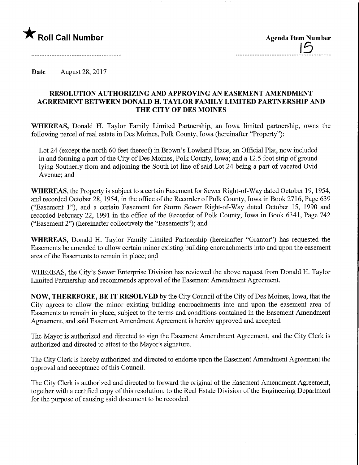

| <b>Agenda Item Number</b> |
|---------------------------|
|                           |
|                           |

--------

Date August 28, 2017.

## RESOLUTION AUTHORIZING AND APPROVING AN EASEMENT AMENDMENT AGREEMENT BETWEEN DONALD H. TAYLOR FAMILY LIMITED PARTNERSHIP AND THE CITY OF DES MOINES

WHEREAS, Donald H. Taylor Family Limited Partnership, an Iowa limited partnership, owns the following parcel of real estate in Des Moines, Polk County, Iowa (hereinafter "Property"):

Lot 24 (except the north 60 feet thereof) in Brown's Lowland Place, an Official Plat, now included in and forming a part of the City of Des Moines, Polk County, Iowa; and a 12.5 foot strip of ground lying Southerly from and adjoining the South lot line of said Lot 24 being a part of vacated Ovid Avenue; and

WHEREAS, the Property is subject to a certain Easement for Sewer Right-of-Way dated October 19, 1954, and recorded October 28, 1954, in the office of the Recorder of Polk County, Iowa in Book 2716, Page 639 ("Easement I"), and a certain Easement for Storm Sewer Right-of-Way dated October 15, 1990 and recorded February 22, 1991 in the office of the Recorder of Polk County, Iowa in Book 6341, Page 742 ("Easement 2") (hereinafter collectively the "Easements"); and

WHEREAS, Donald H. Taylor Family Limited Partnership (hereinafter "Grantor") has requested the Easements be amended to allow certain minor existing building encroachments into and upon the easement area of the Easements to remain in place; and

WHEREAS, the City's Sewer Enterprise Division has reviewed the above request from Donald H. Taylor Limited Partnership and recommends approval of the Easement Amendment Agreement.

NOW, THEREFORE, BE IT RESOLVED by the City Council of the City of Des Moines, Iowa, that the City agrees to allow the minor existing building encroachments into and upon the easement area of Easements to remain in place, subject to the terms and conditions contained in the Easement Amendment Agreement, and said Easement Amendment Agreement is hereby approved and accepted.

The Mayor is authorized and directed to sign the Easement Amendment Agreement, and the City Clerk is authorized and directed to attest to the Mayor's signature.

The City Clerk is hereby authorized and directed to endorse upon the Easement Amendment Agreement the approval and acceptance of this Council.

The City Clerk is authorized and directed to forward the original of the Easement Amendment Agreement, together with a certified copy of this resolution, to the Real Estate Division of the Engineering Department for the purpose of causing said document to be recorded.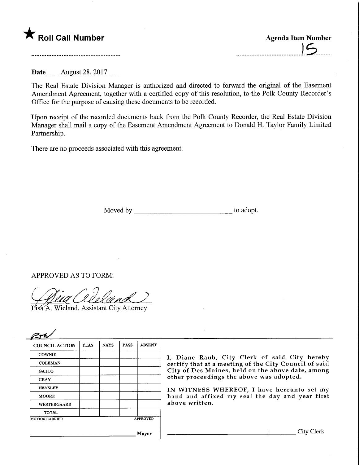## $\zeta$  Roll Call Number

| <b>Agenda Item Number</b> |  |
|---------------------------|--|
|                           |  |

**Date** August 28, 2017

The Real Estate Division Manager is authorized and directed to forward the original of the Easement Amendment Agreement, together with a certified copy of this resolution, to the Polk County Recorder's Office for the purpose of causing these documents to be recorded.

Upon receipt of the recorded documents back from the Polk County Recorder, the Real Estate Division Manager shall mail a copy of the Easement Amendment Agreement to Donald H. Taylor Family Limited Partnership.

There are no proceeds associated with this agreement.

Moved by to adopt.

## APPROVED AS TO FORM:

(Dia Cideland)

## Wieland, Assistant City Attorney

| <b>COUNCIL ACTION</b> | <b>YEAS</b> | <b>NAYS</b> | <b>PASS</b> | <b>ABSENT</b> |
|-----------------------|-------------|-------------|-------------|---------------|
| <b>COWNIE</b>         |             |             |             |               |
| <b>COLEMAN</b>        |             |             |             |               |
| <b>GATTO</b>          |             |             |             |               |
| <b>GRAY</b>           |             |             |             |               |
| <b>HENSLEY</b>        |             |             |             |               |
| <b>MOORE</b>          |             |             |             |               |
| WESTERGAARD           |             |             |             |               |
| <b>TOTAL</b>          |             |             |             |               |

Diane Rauh, City Clerk of said City hereby rtify that at a meeting of the City Council of said ty of Des Moines, held on the above date, among her proceedings the above was adopted.

I WITNESS WHEREOF, I have hereunto set my nd and affixed my seal the day and year first ove written.

Mayor